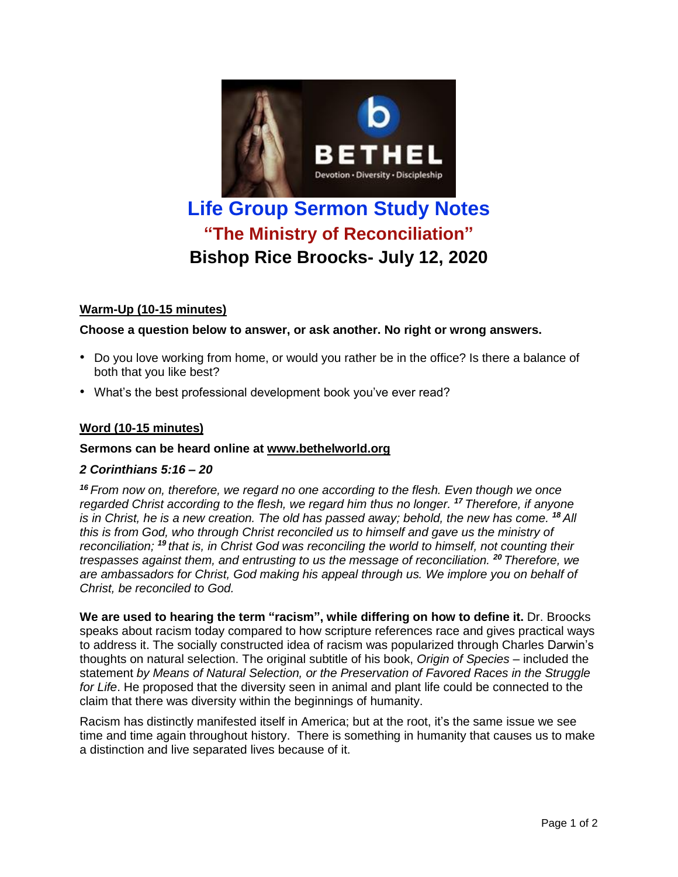

# **"The Ministry of Reconciliation" Bishop Rice Broocks- July 12, 2020**

# **Warm-Up (10-15 minutes)**

## **Choose a question below to answer, or ask another. No right or wrong answers.**

- Do you love working from home, or would you rather be in the office? Is there a balance of both that you like best?
- What's the best professional development book you've ever read?

# **Word (10-15 minutes)**

## **Sermons can be heard online at [www.bethelworld.org](http://www.bethelworld.org/)**

## *2 Corinthians 5:16 – 20*

*<sup>16</sup> From now on, therefore, we regard no one according to the flesh. Even though we once regarded Christ according to the flesh, we regard him thus no longer. <sup>17</sup> Therefore, if anyone* is in Christ, he is a new creation. The old has passed away; behold, the new has come. <sup>18</sup> All *this is from God, who through Christ reconciled us to himself and gave us the ministry of reconciliation; <sup>19</sup> that is, in Christ God was reconciling the world to himself, not counting their trespasses against them, and entrusting to us the message of reconciliation. <sup>20</sup> Therefore, we are ambassadors for Christ, God making his appeal through us. We implore you on behalf of Christ, be reconciled to God.*

**We are used to hearing the term "racism", while differing on how to define it.** Dr. Broocks speaks about racism today compared to how scripture references race and gives practical ways to address it. The socially constructed idea of racism was popularized through Charles Darwin's thoughts on natural selection. The original subtitle of his book, *Origin of Species* – included the statement *by Means of Natural Selection, or the Preservation of Favored Races in the Struggle for Life*. He proposed that the diversity seen in animal and plant life could be connected to the claim that there was diversity within the beginnings of humanity.

Racism has distinctly manifested itself in America; but at the root, it's the same issue we see time and time again throughout history. There is something in humanity that causes us to make a distinction and live separated lives because of it.